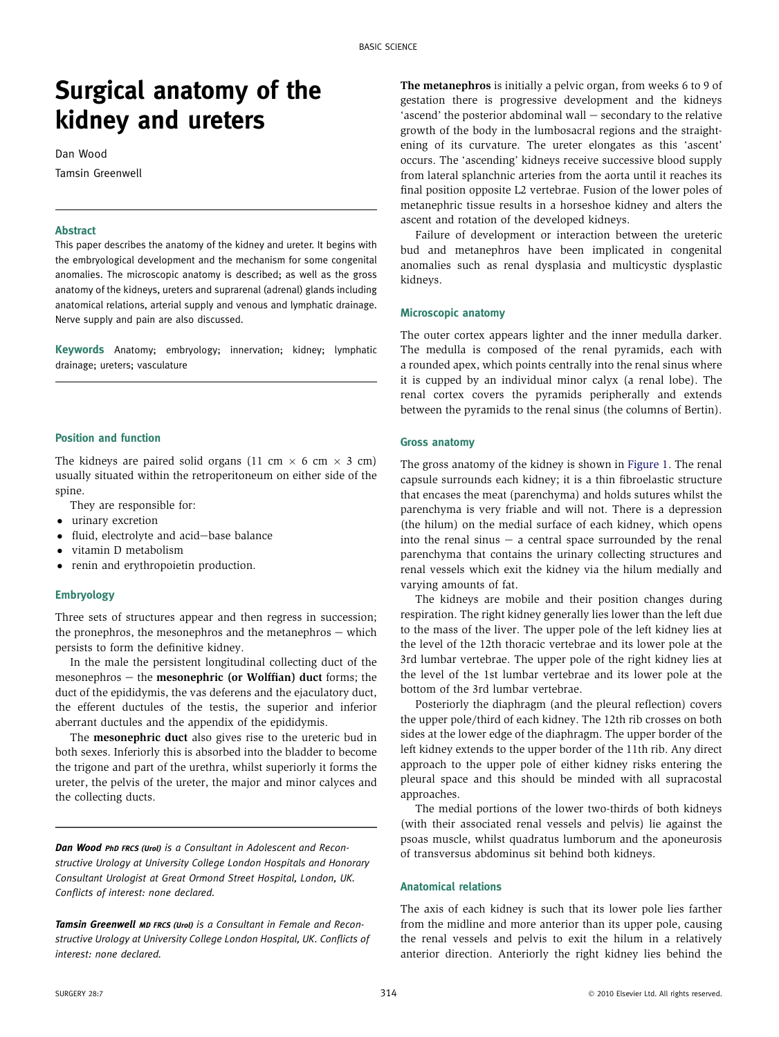# Surgical anatomy of the kidney and ureters

Dan Wood

Tamsin Greenwell

# Abstract

This paper describes the anatomy of the kidney and ureter. It begins with the embryological development and the mechanism for some congenital anomalies. The microscopic anatomy is described; as well as the gross anatomy of the kidneys, ureters and suprarenal (adrenal) glands including anatomical relations, arterial supply and venous and lymphatic drainage. Nerve supply and pain are also discussed.

Keywords Anatomy; embryology; innervation; kidney; lymphatic drainage; ureters; vasculature

## Position and function

The kidneys are paired solid organs (11 cm  $\times$  6 cm  $\times$  3 cm) usually situated within the retroperitoneum on either side of the spine.

- They are responsible for:
- urinary excretion
- fluid, electrolyte and acid-base balance
- vitamin D metabolism
- renin and erythropoietin production.

# Embryology

Three sets of structures appear and then regress in succession; the pronephros, the mesonephros and the metanephros  $-$  which persists to form the definitive kidney.

In the male the persistent longitudinal collecting duct of the mesonephros  $-$  the **mesonephric** (or Wolffian) duct forms; the duct of the epididymis, the vas deferens and the ejaculatory duct, the efferent ductules of the testis, the superior and inferior aberrant ductules and the appendix of the epididymis.

The mesonephric duct also gives rise to the ureteric bud in both sexes. Inferiorly this is absorbed into the bladder to become the trigone and part of the urethra, whilst superiorly it forms the ureter, the pelvis of the ureter, the major and minor calyces and the collecting ducts.

Dan Wood PhD FRCS (Urol) is a Consultant in Adolescent and Reconstructive Urology at University College London Hospitals and Honorary Consultant Urologist at Great Ormond Street Hospital, London, UK. Conflicts of interest: none declared.

Tamsin Greenwell MD FRCS (Urol) is a Consultant in Female and Reconstructive Urology at University College London Hospital, UK. Conflicts of interest: none declared.

The metanephros is initially a pelvic organ, from weeks 6 to 9 of gestation there is progressive development and the kidneys 'ascend' the posterior abdominal wall  $-$  secondary to the relative growth of the body in the lumbosacral regions and the straightening of its curvature. The ureter elongates as this 'ascent' occurs. The 'ascending' kidneys receive successive blood supply from lateral splanchnic arteries from the aorta until it reaches its final position opposite L2 vertebrae. Fusion of the lower poles of metanephric tissue results in a horseshoe kidney and alters the ascent and rotation of the developed kidneys.

Failure of development or interaction between the ureteric bud and metanephros have been implicated in congenital anomalies such as renal dysplasia and multicystic dysplastic kidneys.

#### Microscopic anatomy

The outer cortex appears lighter and the inner medulla darker. The medulla is composed of the renal pyramids, each with a rounded apex, which points centrally into the renal sinus where it is cupped by an individual minor calyx (a renal lobe). The renal cortex covers the pyramids peripherally and extends between the pyramids to the renal sinus (the columns of Bertin).

## Gross anatomy

The gross anatomy of the kidney is shown in [Figure 1](#page-1-0). The renal capsule surrounds each kidney; it is a thin fibroelastic structure that encases the meat (parenchyma) and holds sutures whilst the parenchyma is very friable and will not. There is a depression (the hilum) on the medial surface of each kidney, which opens into the renal sinus  $-$  a central space surrounded by the renal parenchyma that contains the urinary collecting structures and renal vessels which exit the kidney via the hilum medially and varying amounts of fat.

The kidneys are mobile and their position changes during respiration. The right kidney generally lies lower than the left due to the mass of the liver. The upper pole of the left kidney lies at the level of the 12th thoracic vertebrae and its lower pole at the 3rd lumbar vertebrae. The upper pole of the right kidney lies at the level of the 1st lumbar vertebrae and its lower pole at the bottom of the 3rd lumbar vertebrae.

Posteriorly the diaphragm (and the pleural reflection) covers the upper pole/third of each kidney. The 12th rib crosses on both sides at the lower edge of the diaphragm. The upper border of the left kidney extends to the upper border of the 11th rib. Any direct approach to the upper pole of either kidney risks entering the pleural space and this should be minded with all supracostal approaches.

The medial portions of the lower two-thirds of both kidneys (with their associated renal vessels and pelvis) lie against the psoas muscle, whilst quadratus lumborum and the aponeurosis of transversus abdominus sit behind both kidneys.

#### Anatomical relations

The axis of each kidney is such that its lower pole lies farther from the midline and more anterior than its upper pole, causing the renal vessels and pelvis to exit the hilum in a relatively anterior direction. Anteriorly the right kidney lies behind the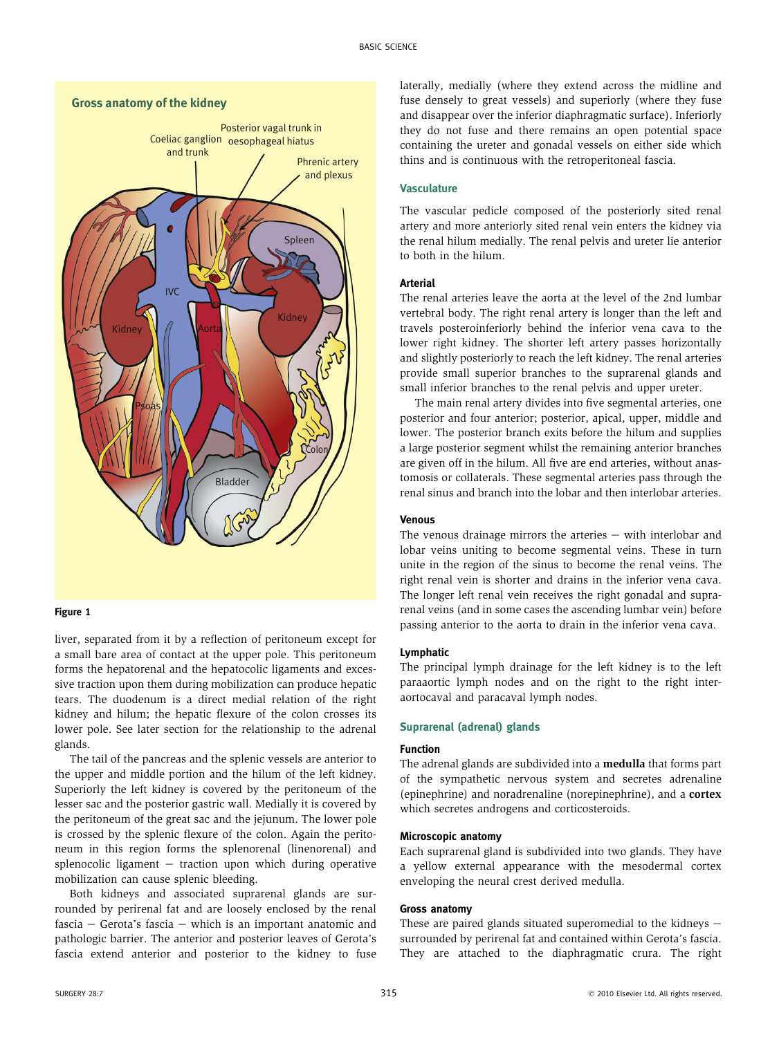<span id="page-1-0"></span>

#### Figure 1

liver, separated from it by a reflection of peritoneum except for a small bare area of contact at the upper pole. This peritoneum forms the hepatorenal and the hepatocolic ligaments and excessive traction upon them during mobilization can produce hepatic tears. The duodenum is a direct medial relation of the right kidney and hilum; the hepatic flexure of the colon crosses its lower pole. See later section for the relationship to the adrenal glands.

The tail of the pancreas and the splenic vessels are anterior to the upper and middle portion and the hilum of the left kidney. Superiorly the left kidney is covered by the peritoneum of the lesser sac and the posterior gastric wall. Medially it is covered by the peritoneum of the great sac and the jejunum. The lower pole is crossed by the splenic flexure of the colon. Again the peritoneum in this region forms the splenorenal (linenorenal) and splenocolic ligament  $-$  traction upon which during operative mobilization can cause splenic bleeding.

Both kidneys and associated suprarenal glands are surrounded by perirenal fat and are loosely enclosed by the renal fascia  $-$  Gerota's fascia  $-$  which is an important anatomic and pathologic barrier. The anterior and posterior leaves of Gerota's fascia extend anterior and posterior to the kidney to fuse

laterally, medially (where they extend across the midline and fuse densely to great vessels) and superiorly (where they fuse and disappear over the inferior diaphragmatic surface). Inferiorly they do not fuse and there remains an open potential space containing the ureter and gonadal vessels on either side which thins and is continuous with the retroperitoneal fascia.

## Vasculature

The vascular pedicle composed of the posteriorly sited renal artery and more anteriorly sited renal vein enters the kidney via the renal hilum medially. The renal pelvis and ureter lie anterior to both in the hilum.

#### Arterial

The renal arteries leave the aorta at the level of the 2nd lumbar vertebral body. The right renal artery is longer than the left and travels posteroinferiorly behind the inferior vena cava to the lower right kidney. The shorter left artery passes horizontally and slightly posteriorly to reach the left kidney. The renal arteries provide small superior branches to the suprarenal glands and small inferior branches to the renal pelvis and upper ureter.

The main renal artery divides into five segmental arteries, one posterior and four anterior; posterior, apical, upper, middle and lower. The posterior branch exits before the hilum and supplies a large posterior segment whilst the remaining anterior branches are given off in the hilum. All five are end arteries, without anastomosis or collaterals. These segmental arteries pass through the renal sinus and branch into the lobar and then interlobar arteries.

## Venous

The venous drainage mirrors the arteries  $-$  with interlobar and lobar veins uniting to become segmental veins. These in turn unite in the region of the sinus to become the renal veins. The right renal vein is shorter and drains in the inferior vena cava. The longer left renal vein receives the right gonadal and suprarenal veins (and in some cases the ascending lumbar vein) before passing anterior to the aorta to drain in the inferior vena cava.

#### Lymphatic

The principal lymph drainage for the left kidney is to the left paraaortic lymph nodes and on the right to the right interaortocaval and paracaval lymph nodes.

## Suprarenal (adrenal) glands

#### Function

The adrenal glands are subdivided into a medulla that forms part of the sympathetic nervous system and secretes adrenaline (epinephrine) and noradrenaline (norepinephrine), and a cortex which secretes androgens and corticosteroids.

## Microscopic anatomy

Each suprarenal gland is subdivided into two glands. They have a yellow external appearance with the mesodermal cortex enveloping the neural crest derived medulla.

#### Gross anatomy

These are paired glands situated superomedial to the kidneys  $$ surrounded by perirenal fat and contained within Gerota's fascia. They are attached to the diaphragmatic crura. The right